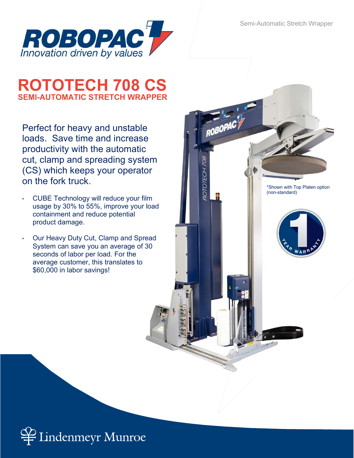

# ROTOTECH 708 CS SEMI-AUTOMATIC STRETCH WRAPPER

Perfect for heavy and unstable loads. Save time and increase productivity with the automatic cut, clamp and spreading system (CS) which keeps your operator on the fork truck.

- CUBE Technology will reduce your film usage by 30% to 55%, improve your load containment and reduce potential product damage.
- Our Heavy Duty Cut, Clamp and Spread System can save you an average of 30 seconds of labor per load. For the average customer, this translates to \$60,000 in labor savings!